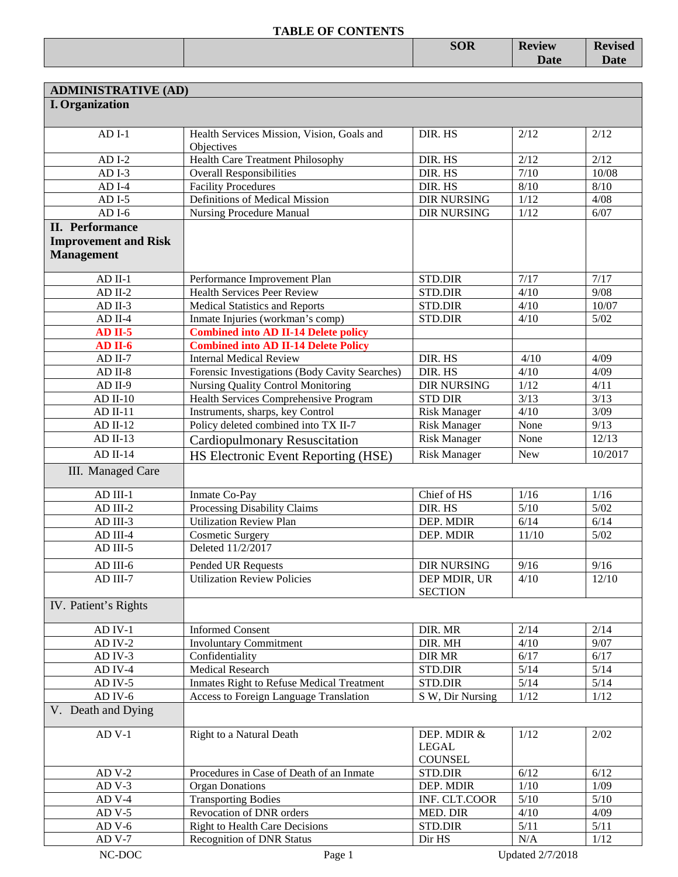|  | <b>SOR</b> | <b>Review</b> | $\blacksquare$<br>vised<br>170 |
|--|------------|---------------|--------------------------------|
|  |            | <b>Date</b>   |                                |
|  |            |               |                                |

| <b>ADMINISTRATIVE (AD)</b>  |                                                          |                     |            |         |
|-----------------------------|----------------------------------------------------------|---------------------|------------|---------|
| <b>I.</b> Organization      |                                                          |                     |            |         |
|                             |                                                          |                     |            |         |
| $ADI-1$                     | Health Services Mission, Vision, Goals and<br>Objectives | DIR. HS             | 2/12       | 2/12    |
| $ADI-2$                     | <b>Health Care Treatment Philosophy</b>                  | DIR. HS             | 2/12       | 2/12    |
| $ADI-3$                     | <b>Overall Responsibilities</b>                          | DIR. HS             | 7/10       | 10/08   |
| $ADI-4$                     | <b>Facility Procedures</b>                               | DIR. HS             | 8/10       | $8/10$  |
| $ADI-5$                     | Definitions of Medical Mission                           | <b>DIR NURSING</b>  | 1/12       | 4/08    |
| $ADI-6$                     | <b>Nursing Procedure Manual</b>                          | <b>DIR NURSING</b>  | $1/12$     | 6/07    |
| <b>II.</b> Performance      |                                                          |                     |            |         |
| <b>Improvement and Risk</b> |                                                          |                     |            |         |
| <b>Management</b>           |                                                          |                     |            |         |
|                             |                                                          |                     |            |         |
| $AD$ II-1                   | Performance Improvement Plan                             | STD.DIR             | 7/17       | 7/17    |
| $AD$ II-2                   | <b>Health Services Peer Review</b>                       | <b>STD.DIR</b>      | 4/10       | 9/08    |
| $AD$ II-3                   | <b>Medical Statistics and Reports</b>                    | STD.DIR             | 4/10       | 10/07   |
| $AD$ II-4                   | Inmate Injuries (workman's comp)                         | STD.DIR             | 4/10       | $5/02$  |
| $AD II-5$                   | <b>Combined into AD II-14 Delete policy</b>              |                     |            |         |
| $AD II-6$                   | <b>Combined into AD II-14 Delete Policy</b>              |                     |            |         |
| $AD II-7$                   | <b>Internal Medical Review</b>                           | DIR. HS             | 4/10       | 4/09    |
| $AD II-8$                   | Forensic Investigations (Body Cavity Searches)           | DIR. HS             | 4/10       | 4/09    |
| $AD II-9$                   | Nursing Quality Control Monitoring                       | <b>DIR NURSING</b>  | 1/12       | 4/11    |
| $AD$ II-10                  | <b>Health Services Comprehensive Program</b>             | <b>STD DIR</b>      | 3/13       | 3/13    |
| $AD II-11$                  | Instruments, sharps, key Control                         | <b>Risk Manager</b> | 4/10       | 3/09    |
| $AD II-12$                  | Policy deleted combined into TX II-7                     | <b>Risk Manager</b> | None       | 9/13    |
| $AD II-13$                  | <b>Cardiopulmonary Resuscitation</b>                     | <b>Risk Manager</b> | None       | 12/13   |
| $AD II-14$                  | HS Electronic Event Reporting (HSE)                      | <b>Risk Manager</b> | <b>New</b> | 10/2017 |
| III. Managed Care           |                                                          |                     |            |         |
|                             |                                                          |                     |            |         |
| $AD$ III-1                  | Inmate Co-Pay                                            | Chief of HS         | 1/16       | 1/16    |
| AD III-2                    | Processing Disability Claims                             | DIR. HS             | 5/10       | $5/02$  |
| AD III-3                    | <b>Utilization Review Plan</b>                           | DEP. MDIR           | 6/14       | 6/14    |
| AD III-4                    | <b>Cosmetic Surgery</b>                                  | DEP. MDIR           | 11/10      | $5/02$  |
| AD III-5                    | Deleted 11/2/2017                                        |                     |            |         |
| AD III-6                    | Pended UR Requests                                       | <b>DIR NURSING</b>  | 9/16       | 9/16    |
| AD III-7                    | <b>Utilization Review Policies</b>                       | DEP MDIR, UR        | 4/10       | 12/10   |
|                             |                                                          | <b>SECTION</b>      |            |         |
| IV. Patient's Rights        |                                                          |                     |            |         |
| $AD$ IV-1                   | <b>Informed Consent</b>                                  | DIR. MR             | 2/14       | 2/14    |
| $AD IV-2$                   | <b>Involuntary Commitment</b>                            | DIR. MH             | 4/10       | 9/07    |
| AD IV-3                     | Confidentiality                                          | <b>DIR MR</b>       | 6/17       | 6/17    |
| AD IV-4                     | <b>Medical Research</b>                                  | STD.DIR             | $5/14$     | 5/14    |
| AD IV-5                     | Inmates Right to Refuse Medical Treatment                | STD.DIR             | $5/14$     | $5/14$  |
| $AD$ IV- $6$                | <b>Access to Foreign Language Translation</b>            | S W, Dir Nursing    | 1/12       | 1/12    |
| V. Death and Dying          |                                                          |                     |            |         |
|                             |                                                          |                     |            |         |
| $AD V-1$                    | Right to a Natural Death                                 | DEP. MDIR &         | 1/12       | 2/02    |
|                             |                                                          | <b>LEGAL</b>        |            |         |
|                             |                                                          | <b>COUNSEL</b>      |            |         |
| $ADV-2$                     | Procedures in Case of Death of an Inmate                 | STD.DIR             | 6/12       | 6/12    |
| $ADV-3$                     | <b>Organ Donations</b>                                   | DEP. MDIR           | 1/10       | 1/09    |
| $ADV-4$                     | <b>Transporting Bodies</b>                               | INF. CLT.COOR       | 5/10       | $5/10$  |
| $ADV-5$                     | Revocation of DNR orders                                 | MED. DIR            | 4/10       | 4/09    |
| $ADV-6$                     | <b>Right to Health Care Decisions</b>                    | STD.DIR             | 5/11       | 5/11    |
| $ADV-7$                     | Recognition of DNR Status                                | Dir HS              | N/A        | 1/12    |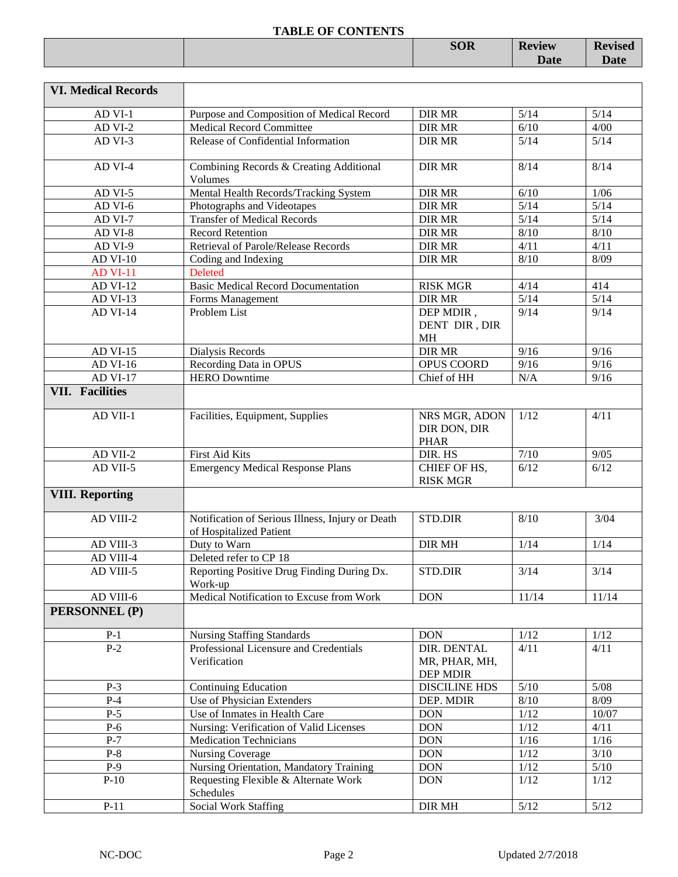|  | <b>SOR</b> | <b>Review</b> | <b>Revised</b> |
|--|------------|---------------|----------------|
|  |            | <b>Date</b>   | <b>Date</b>    |
|  |            |               |                |

| <b>VI. Medical Records</b> |                                                                             |                                              |        |        |
|----------------------------|-----------------------------------------------------------------------------|----------------------------------------------|--------|--------|
| AD VI-1                    | Purpose and Composition of Medical Record                                   | <b>DIR MR</b>                                | 5/14   | $5/14$ |
| AD VI-2                    | Medical Record Committee                                                    | <b>DIR MR</b>                                | 6/10   | 4/00   |
| AD VI-3                    | Release of Confidential Information                                         | <b>DIR MR</b>                                | 5/14   | $5/14$ |
| AD VI-4                    | Combining Records & Creating Additional<br>Volumes                          | <b>DIR MR</b>                                | 8/14   | 8/14   |
| AD VI-5                    | Mental Health Records/Tracking System                                       | <b>DIR MR</b>                                | 6/10   | 1/06   |
| AD VI-6                    | Photographs and Videotapes                                                  | <b>DIR MR</b>                                | 5/14   | $5/14$ |
| AD VI-7                    | <b>Transfer of Medical Records</b>                                          | <b>DIR MR</b>                                | 5/14   | 5/14   |
| AD VI-8                    | <b>Record Retention</b>                                                     | <b>DIR MR</b>                                | 8/10   | $8/10$ |
| AD VI-9                    | Retrieval of Parole/Release Records                                         | <b>DIR MR</b>                                | 4/11   | 4/11   |
| <b>AD VI-10</b>            | Coding and Indexing                                                         | <b>DIR MR</b>                                | 8/10   | 8/09   |
| <b>AD VI-11</b>            | <b>Deleted</b>                                                              |                                              |        |        |
| <b>AD VI-12</b>            | <b>Basic Medical Record Documentation</b>                                   | <b>RISK MGR</b>                              | 4/14   | 414    |
| AD VI-13                   | Forms Management                                                            | <b>DIR MR</b>                                | 5/14   | 5/14   |
| <b>AD VI-14</b>            | Problem List                                                                | DEP MDIR,<br>DENT DIR, DIR<br><b>MH</b>      | 9/14   | 9/14   |
| <b>AD VI-15</b>            | Dialysis Records                                                            | <b>DIR MR</b>                                | 9/16   | 9/16   |
| AD VI-16                   | Recording Data in OPUS                                                      | OPUS COORD                                   | 9/16   | 9/16   |
| <b>AD VI-17</b>            | <b>HERO</b> Downtime                                                        | Chief of HH                                  | N/A    | 9/16   |
| <b>VII. Facilities</b>     |                                                                             |                                              |        |        |
|                            |                                                                             |                                              |        |        |
| AD VII-1                   | Facilities, Equipment, Supplies                                             | NRS MGR, ADON<br>DIR DON, DIR<br><b>PHAR</b> | 1/12   | 4/11   |
| AD VII-2                   | First Aid Kits                                                              | DIR. HS                                      | $7/10$ | 9/05   |
| AD VII-5                   | <b>Emergency Medical Response Plans</b>                                     | CHIEF OF HS,<br><b>RISK MGR</b>              | 6/12   | 6/12   |
| <b>VIII. Reporting</b>     |                                                                             |                                              |        |        |
| AD VIII-2                  | Notification of Serious Illness, Injury or Death<br>of Hospitalized Patient | <b>STD.DIR</b>                               | 8/10   | 3/04   |
| $AD$ VIII-3                | Duty to Warn                                                                | <b>DIR MH</b>                                | 1/14   | 1/14   |
| AD VIII-4                  | Deleted refer to CP 18                                                      |                                              |        |        |
| AD VIII-5                  | Reporting Positive Drug Finding During Dx.<br>Work-up                       | STD.DIR                                      | 3/14   | 3/14   |
| AD VIII-6                  | Medical Notification to Excuse from Work                                    | <b>DON</b>                                   | 11/14  | 11/14  |
| PERSONNEL (P)              |                                                                             |                                              |        |        |
| $P-1$                      | <b>Nursing Staffing Standards</b>                                           | <b>DON</b>                                   | $1/12$ | 1/12   |
| $P-2$                      | Professional Licensure and Credentials                                      | DIR. DENTAL                                  | 4/11   | 4/11   |
|                            | Verification                                                                | MR, PHAR, MH,<br>DEP MDIR                    |        |        |
| $P-3$                      | <b>Continuing Education</b>                                                 | <b>DISCILINE HDS</b>                         | $5/10$ | $5/08$ |
| $P-4$                      | Use of Physician Extenders                                                  | DEP. MDIR                                    | 8/10   | 8/09   |
| $P-5$                      | Use of Inmates in Health Care                                               | <b>DON</b>                                   | $1/12$ | 10/07  |
| $P-6$                      | Nursing: Verification of Valid Licenses                                     | <b>DON</b>                                   | $1/12$ | 4/11   |
| $P-7$                      | <b>Medication Technicians</b>                                               | <b>DON</b>                                   | 1/16   | 1/16   |
| $P-8$                      | <b>Nursing Coverage</b>                                                     | <b>DON</b>                                   | $1/12$ | $3/10$ |
| $P-9$                      | Nursing Orientation, Mandatory Training                                     | <b>DON</b>                                   | $1/12$ | $5/10$ |
| $P-10$                     | Requesting Flexible & Alternate Work                                        | <b>DON</b>                                   | $1/12$ | $1/12$ |
|                            | Schedules                                                                   |                                              |        |        |
| $P-11$                     | <b>Social Work Staffing</b>                                                 | DIR MH                                       | $5/12$ | $5/12$ |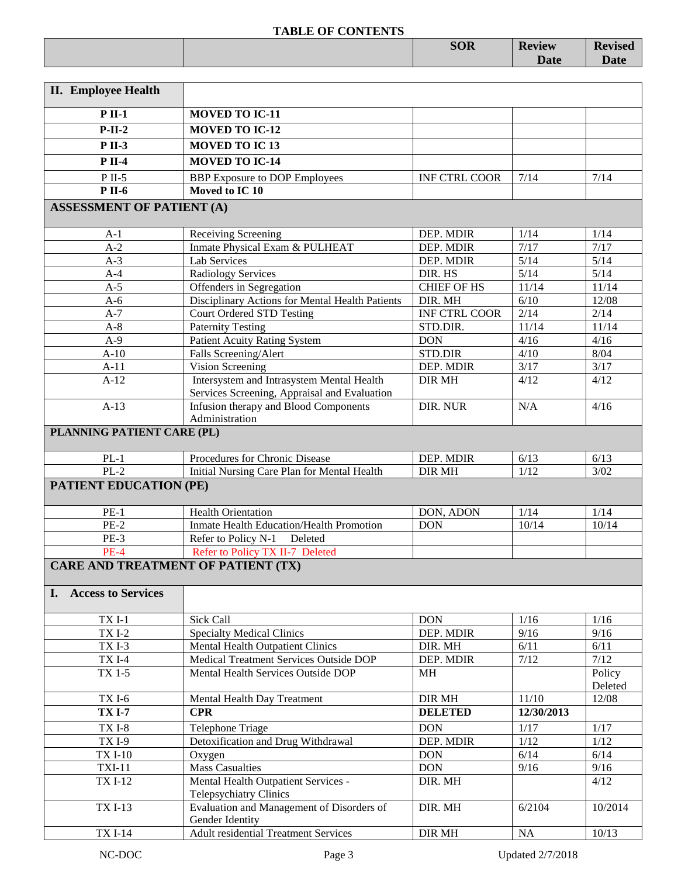|                                                                                                                 | <b>SOR</b> | <b>Review</b> | <b>Revised</b> |
|-----------------------------------------------------------------------------------------------------------------|------------|---------------|----------------|
|                                                                                                                 |            | <b>Date</b>   | <b>Date</b>    |
|                                                                                                                 |            |               |                |
| the contract of the contract of the contract of the contract of the contract of the contract of the contract of |            |               |                |

| <b>II.</b> Employee Health                |                                                                                           |                      |            |                   |
|-------------------------------------------|-------------------------------------------------------------------------------------------|----------------------|------------|-------------------|
| $P$ II-1                                  | <b>MOVED TO IC-11</b>                                                                     |                      |            |                   |
| $P-II-2$                                  | <b>MOVED TO IC-12</b>                                                                     |                      |            |                   |
| <b>P</b> II-3                             | <b>MOVED TO IC13</b>                                                                      |                      |            |                   |
| <b>P</b> II-4                             | <b>MOVED TO IC-14</b>                                                                     |                      |            |                   |
|                                           |                                                                                           |                      |            |                   |
| $P$ II-5<br><b>P</b> II-6                 | <b>BBP</b> Exposure to DOP Employees<br>Moved to IC 10                                    | <b>INF CTRL COOR</b> | 7/14       | 7/14              |
|                                           |                                                                                           |                      |            |                   |
| <b>ASSESSMENT OF PATIENT (A)</b>          |                                                                                           |                      |            |                   |
| $A-1$                                     | Receiving Screening                                                                       | DEP. MDIR            | 1/14       | 1/14              |
| $A-2$                                     | Inmate Physical Exam & PULHEAT                                                            | DEP. MDIR            | 7/17       | 7/17              |
| $A-3$                                     | Lab Services                                                                              | DEP. MDIR            | 5/14       | 5/14              |
| $A-4$                                     | Radiology Services                                                                        | DIR. HS              | 5/14       | 5/14              |
| $A-5$                                     | Offenders in Segregation                                                                  | <b>CHIEF OF HS</b>   | 11/14      | 11/14             |
| $A-6$                                     | Disciplinary Actions for Mental Health Patients                                           | DIR. MH              | 6/10       | 12/08             |
| $A-7$                                     | <b>Court Ordered STD Testing</b>                                                          | <b>INF CTRL COOR</b> | 2/14       | 2/14              |
| $A-8$                                     | <b>Paternity Testing</b>                                                                  | STD.DIR.             | 11/14      | 11/14             |
| $A-9$                                     | <b>Patient Acuity Rating System</b>                                                       | <b>DON</b>           | 4/16       | 4/16              |
| $A-10$                                    | Falls Screening/Alert                                                                     | STD.DIR              | 4/10       | 8/04              |
| $A-11$                                    | <b>Vision Screening</b>                                                                   | DEP. MDIR            | 3/17       | 3/17              |
| $A-12$                                    | Intersystem and Intrasystem Mental Health<br>Services Screening, Appraisal and Evaluation | <b>DIR MH</b>        | 4/12       | 4/12              |
| $A-13$                                    | Infusion therapy and Blood Components<br>Administration                                   | DIR. NUR             | N/A        | 4/16              |
| PLANNING PATIENT CARE (PL)                |                                                                                           |                      |            |                   |
| $PL-1$                                    | Procedures for Chronic Disease                                                            | DEP. MDIR            | 6/13       | 6/13              |
| $PL-2$                                    | Initial Nursing Care Plan for Mental Health                                               | <b>DIR MH</b>        | 1/12       | 3/02              |
| <b>PATIENT EDUCATION (PE)</b>             |                                                                                           |                      |            |                   |
| $PE-1$                                    | <b>Health Orientation</b>                                                                 | DON, ADON            | 1/14       | 1/14              |
| $PE-2$                                    | Inmate Health Education/Health Promotion                                                  | <b>DON</b>           | 10/14      | 10/14             |
| $PE-3$                                    | Refer to Policy N-1<br>Deleted                                                            |                      |            |                   |
| $PE-4$                                    | Refer to Policy TX II-7 Deleted                                                           |                      |            |                   |
| <b>CARE AND TREATMENT OF PATIENT (TX)</b> |                                                                                           |                      |            |                   |
| <b>Access to Services</b><br>I.           |                                                                                           |                      |            |                   |
|                                           |                                                                                           |                      |            |                   |
| $TXI-1$                                   | Sick Call                                                                                 | <b>DON</b>           | 1/16       | 1/16              |
| <b>TXI-2</b>                              | <b>Specialty Medical Clinics</b>                                                          | DEP. MDIR            | 9/16       | 9/16              |
| TXI-3                                     | Mental Health Outpatient Clinics                                                          | DIR. MH              | 6/11       | 6/11              |
| <b>TXI-4</b>                              | Medical Treatment Services Outside DOP                                                    | DEP. MDIR            | $7/12$     | 7/12              |
| TX 1-5                                    | Mental Health Services Outside DOP                                                        | MH                   |            | Policy<br>Deleted |
| TXI-6                                     | Mental Health Day Treatment                                                               | DIR MH               | 11/10      | 12/08             |
| <b>TX I-7</b>                             | <b>CPR</b>                                                                                | <b>DELETED</b>       | 12/30/2013 |                   |
| <b>TXI-8</b>                              | Telephone Triage                                                                          | <b>DON</b>           | 1/17       | 1/17              |
| <b>TXI-9</b>                              | Detoxification and Drug Withdrawal                                                        | DEP. MDIR            | $1/12$     | $1/12$            |
| <b>TX I-10</b>                            | Oxygen                                                                                    | <b>DON</b>           | 6/14       | 6/14              |
| <b>TXI-11</b>                             | <b>Mass Casualties</b>                                                                    | <b>DON</b>           | 9/16       | 9/16              |
| <b>TXI-12</b>                             | Mental Health Outpatient Services -<br><b>Telepsychiatry Clinics</b>                      | DIR. MH              |            | 4/12              |
| <b>TXI-13</b>                             | Evaluation and Management of Disorders of                                                 | DIR. MH              | 6/2104     | 10/2014           |
|                                           | Gender Identity                                                                           |                      |            |                   |
| <b>TXI-14</b>                             | <b>Adult residential Treatment Services</b>                                               | DIR MH               | <b>NA</b>  | 10/13             |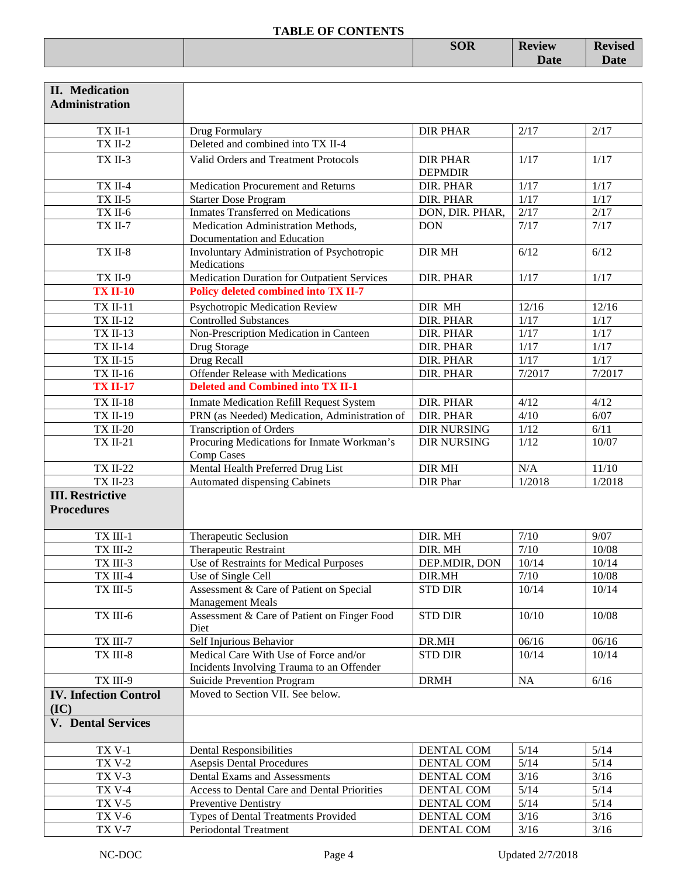|  | <b>SOR</b> | <b>Review</b> | n.<br>150u |
|--|------------|---------------|------------|
|  |            | <b>Date</b>   |            |
|  |            |               |            |

| <b>II.</b> Medication<br><b>Administration</b> |                                                                                    |                                   |                   |                   |
|------------------------------------------------|------------------------------------------------------------------------------------|-----------------------------------|-------------------|-------------------|
| TX II-1                                        | Drug Formulary                                                                     | <b>DIR PHAR</b>                   | 2/17              | 2/17              |
| $TX$ II-2                                      | Deleted and combined into TX II-4                                                  |                                   |                   |                   |
| TX II-3                                        | Valid Orders and Treatment Protocols                                               | <b>DIR PHAR</b><br><b>DEPMDIR</b> | 1/17              | 1/17              |
| $TX$ II-4                                      | Medication Procurement and Returns                                                 | DIR. PHAR                         | 1/17              | 1/17              |
| $TX$ II-5                                      | <b>Starter Dose Program</b>                                                        | DIR. PHAR                         | 1/17              | $1/\overline{17}$ |
| TX II-6                                        | <b>Inmates Transferred on Medications</b>                                          | DON, DIR. PHAR,                   | 2/17              | 2/17              |
| <b>TX II-7</b>                                 | Medication Administration Methods,<br>Documentation and Education                  | <b>DON</b>                        | 7/17              | 7/17              |
| TX II-8                                        | Involuntary Administration of Psychotropic<br>Medications                          | <b>DIR MH</b>                     | 6/12              | 6/12              |
| TX II-9                                        | Medication Duration for Outpatient Services                                        | DIR. PHAR                         | 1/17              | 1/17              |
| <b>TX II-10</b>                                | Policy deleted combined into TX II-7                                               |                                   |                   |                   |
| <b>TX II-11</b>                                | Psychotropic Medication Review                                                     | DIR MH                            | 12/16             | 12/16             |
| <b>TX II-12</b>                                | <b>Controlled Substances</b>                                                       | DIR. PHAR                         | $1/17$            | $1/17$            |
| <b>TX II-13</b>                                | Non-Prescription Medication in Canteen                                             | DIR. PHAR                         | $1/17$            | $1/17$            |
| <b>TX II-14</b>                                | Drug Storage                                                                       | DIR. PHAR                         | $1/17$            | $1/17$            |
| <b>TX II-15</b>                                | Drug Recall                                                                        | DIR. PHAR                         | $\overline{1/17}$ | 1/17              |
| <b>TX II-16</b>                                | <b>Offender Release with Medications</b>                                           | DIR. PHAR                         | 7/2017            | 7/2017            |
| <b>TX II-17</b>                                | <b>Deleted and Combined into TX II-1</b>                                           |                                   |                   |                   |
| <b>TX II-18</b>                                | <b>Inmate Medication Refill Request System</b>                                     | DIR. PHAR                         | 4/12              | 4/12              |
| <b>TX II-19</b>                                | PRN (as Needed) Medication, Administration of                                      | DIR. PHAR                         | 4/10              | 6/07              |
| <b>TX II-20</b>                                | <b>Transcription of Orders</b>                                                     | <b>DIR NURSING</b>                | 1/12              | 6/11              |
| <b>TX II-21</b>                                | Procuring Medications for Inmate Workman's<br>Comp Cases                           | <b>DIR NURSING</b>                | 1/12              | 10/07             |
| <b>TX II-22</b>                                | Mental Health Preferred Drug List                                                  | DIR MH                            | N/A               | $11/10$           |
| <b>TX II-23</b>                                | Automated dispensing Cabinets                                                      | DIR Phar                          | 1/2018            | 1/2018            |
| <b>III. Restrictive</b><br><b>Procedures</b>   |                                                                                    |                                   |                   |                   |
| TX III-1                                       | Therapeutic Seclusion                                                              | DIR. MH                           | $7/10$            | 9/07              |
| TX III-2                                       | Therapeutic Restraint                                                              | DIR. MH                           | 7/10              | 10/08             |
| TX III-3                                       | Use of Restraints for Medical Purposes                                             | DEP.MDIR, DON                     | 10/14             | 10/14             |
| TX III-4                                       | Use of Single Cell                                                                 | DIR.MH                            | $7/10$            | 10/08             |
| TX III-5                                       | Assessment & Care of Patient on Special<br><b>Management Meals</b>                 | <b>STD DIR</b>                    | 10/14             | 10/14             |
| TX III-6                                       | Assessment & Care of Patient on Finger Food<br>Diet                                | <b>STD DIR</b>                    | 10/10             | 10/08             |
| TX III-7                                       | Self Injurious Behavior                                                            | DR.MH                             | 06/16             | 06/16             |
| $TX$ III-8 $\,$                                | Medical Care With Use of Force and/or<br>Incidents Involving Trauma to an Offender | <b>STD DIR</b>                    | 10/14             | 10/14             |
| TX III-9                                       | Suicide Prevention Program                                                         | <b>DRMH</b>                       | NA                | $6/16$            |
| <b>IV. Infection Control</b><br>(IC)           | Moved to Section VII. See below.                                                   |                                   |                   |                   |
| <b>V.</b> Dental Services                      |                                                                                    |                                   |                   |                   |
| <b>TX V-1</b>                                  | <b>Dental Responsibilities</b>                                                     | DENTAL COM                        | 5/14              | 5/14              |
| <b>TX V-2</b>                                  | <b>Asepsis Dental Procedures</b>                                                   | DENTAL COM                        | $5/14$            | $5/14$            |
| <b>TX V-3</b>                                  | Dental Exams and Assessments                                                       | DENTAL COM                        | $3/16$            | $3/16$            |
| <b>TX V-4</b>                                  | Access to Dental Care and Dental Priorities                                        | DENTAL COM                        | $5/14$            | $5/14$            |
| <b>TX V-5</b>                                  | Preventive Dentistry                                                               | DENTAL COM                        | $5/14$            | $5/14$            |
| <b>TX V-6</b>                                  | Types of Dental Treatments Provided                                                | DENTAL COM                        | $3/16$            | $3/16$            |
| <b>TX V-7</b>                                  | Periodontal Treatment                                                              | <b>DENTAL COM</b>                 | $3/16$            | $3/16$            |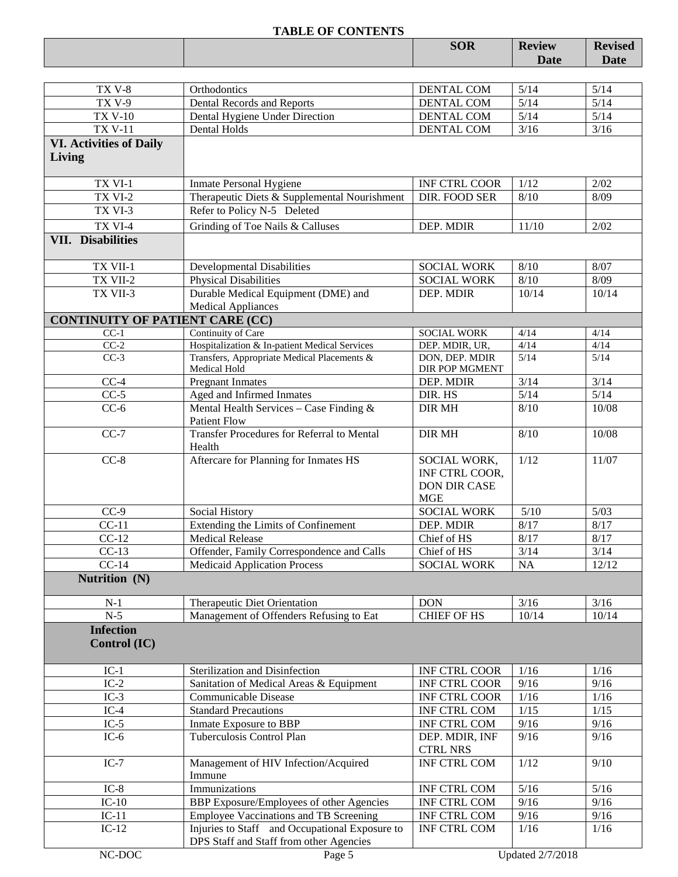|                                        |                                                                          | <b>SOR</b>           | <b>Review</b> | <b>Revised</b> |
|----------------------------------------|--------------------------------------------------------------------------|----------------------|---------------|----------------|
|                                        |                                                                          |                      | Date          | Date           |
|                                        |                                                                          |                      |               |                |
| <b>TX V-8</b>                          | Orthodontics                                                             | DENTAL COM           | 5/14          | 5/14           |
| <b>TX V-9</b>                          | Dental Records and Reports                                               | <b>DENTAL COM</b>    | 5/14          | 5/14           |
| <b>TX V-10</b>                         | Dental Hygiene Under Direction                                           | DENTAL COM           | $5/14$        | $5/14$         |
| <b>TX V-11</b>                         | <b>Dental Holds</b>                                                      | <b>DENTAL COM</b>    | $3/16$        | $3/16$         |
| <b>VI. Activities of Daily</b>         |                                                                          |                      |               |                |
| Living                                 |                                                                          |                      |               |                |
|                                        |                                                                          |                      |               |                |
| TX VI-1                                | <b>Inmate Personal Hygiene</b>                                           | <b>INF CTRL COOR</b> | 1/12          | 2/02           |
| TX VI-2                                | Therapeutic Diets & Supplemental Nourishment                             | DIR. FOOD SER        | 8/10          | 8/09           |
| TX VI-3                                | Refer to Policy N-5 Deleted                                              |                      |               |                |
| TX VI-4                                | Grinding of Toe Nails & Calluses                                         | DEP. MDIR            | 11/10         | 2/02           |
| <b>VII.</b> Disabilities               |                                                                          |                      |               |                |
|                                        |                                                                          |                      |               |                |
| TX VII-1                               | <b>Developmental Disabilities</b>                                        | <b>SOCIAL WORK</b>   | 8/10          | 8/07           |
| TX VII-2                               | <b>Physical Disabilities</b>                                             | <b>SOCIAL WORK</b>   | 8/10          | 8/09           |
| TX VII-3                               | Durable Medical Equipment (DME) and                                      | DEP. MDIR            | 10/14         | 10/14          |
|                                        | <b>Medical Appliances</b>                                                |                      |               |                |
| <b>CONTINUITY OF PATIENT CARE (CC)</b> |                                                                          |                      |               |                |
| $CC-1$                                 | Continuity of Care                                                       | <b>SOCIAL WORK</b>   | 4/14          | 4/14           |
| $CC-2$                                 | Hospitalization & In-patient Medical Services                            | DEP. MDIR, UR,       | 4/14          | 4/14           |
| $CC-3$                                 | Transfers, Appropriate Medical Placements &                              | DON, DEP. MDIR       | 5/14          | 5/14           |
|                                        | Medical Hold                                                             | DIR POP MGMENT       |               |                |
| $CC-4$                                 | <b>Pregnant Inmates</b>                                                  | DEP. MDIR            | 3/14          | 3/14           |
| $CC-5$                                 | Aged and Infirmed Inmates                                                | DIR. HS              | $5/14$        | $5/14$         |
| $CC-6$                                 | Mental Health Services - Case Finding &                                  | <b>DIR MH</b>        | 8/10          | 10/08          |
| $CC-7$                                 | <b>Patient Flow</b><br><b>Transfer Procedures for Referral to Mental</b> | <b>DIR MH</b>        | 8/10          | 10/08          |
|                                        | Health                                                                   |                      |               |                |
| $CC-8$                                 | Aftercare for Planning for Inmates HS                                    | SOCIAL WORK,         | 1/12          | 11/07          |
|                                        |                                                                          | INF CTRL COOR,       |               |                |
|                                        |                                                                          | <b>DON DIR CASE</b>  |               |                |
|                                        |                                                                          | <b>MGE</b>           |               |                |
| $CC-9$                                 | Social History                                                           | <b>SOCIAL WORK</b>   | $5/10$        | 5/03           |
| $CC-11$                                | Extending the Limits of Confinement                                      | DEP. MDIR            | 8/17          | 8/17           |
| $CC-12$                                | <b>Medical Release</b>                                                   | Chief of HS          | $8/17$        | 8/17           |
| $CC-13$                                | Offender, Family Correspondence and Calls                                | Chief of HS          | 3/14          | 3/14           |
| $CC-14$                                | <b>Medicaid Application Process</b>                                      | <b>SOCIAL WORK</b>   | NA            | 12/12          |
| Nutrition (N)                          |                                                                          |                      |               |                |
|                                        |                                                                          |                      |               |                |
| $N-1$                                  | Therapeutic Diet Orientation                                             | <b>DON</b>           | 3/16          | 3/16           |
| $N-5$                                  | Management of Offenders Refusing to Eat                                  | <b>CHIEF OF HS</b>   | 10/14         | 10/14          |
| <b>Infection</b>                       |                                                                          |                      |               |                |
| Control (IC)                           |                                                                          |                      |               |                |
|                                        |                                                                          |                      |               |                |
| $IC-1$                                 | Sterilization and Disinfection                                           | <b>INF CTRL COOR</b> | 1/16          | 1/16           |
| $IC-2$                                 | Sanitation of Medical Areas & Equipment                                  | <b>INF CTRL COOR</b> | 9/16          | 9/16           |
| $IC-3$                                 | Communicable Disease                                                     | INF CTRL COOR        | 1/16          | 1/16           |
| $IC-4$                                 | <b>Standard Precautions</b>                                              | INF CTRL COM         | 1/15          | 1/15           |
| $IC-5$                                 | Inmate Exposure to BBP                                                   | INF CTRL COM         | 9/16          | 9/16           |
| $IC-6$                                 | Tuberculosis Control Plan                                                | DEP. MDIR, INF       | 9/16          | 9/16           |
|                                        |                                                                          | <b>CTRL NRS</b>      |               |                |
| $IC-7$                                 | Management of HIV Infection/Acquired                                     | <b>INF CTRL COM</b>  | 1/12          | 9/10           |
|                                        | Immune                                                                   |                      |               |                |
| $IC-8$                                 | Immunizations                                                            | INF CTRL COM         | 5/16          | 5/16           |
| $IC-10$                                | BBP Exposure/Employees of other Agencies                                 | INF CTRL COM         | 9/16          | 9/16           |
| $IC-11$                                | <b>Employee Vaccinations and TB Screening</b>                            | INF CTRL COM         | 9/16          | 9/16           |
| $IC-12$                                | Injuries to Staff and Occupational Exposure to                           | INF CTRL COM         | 1/16          | 1/16           |
|                                        | DPS Staff and Staff from other Agencies                                  |                      |               |                |